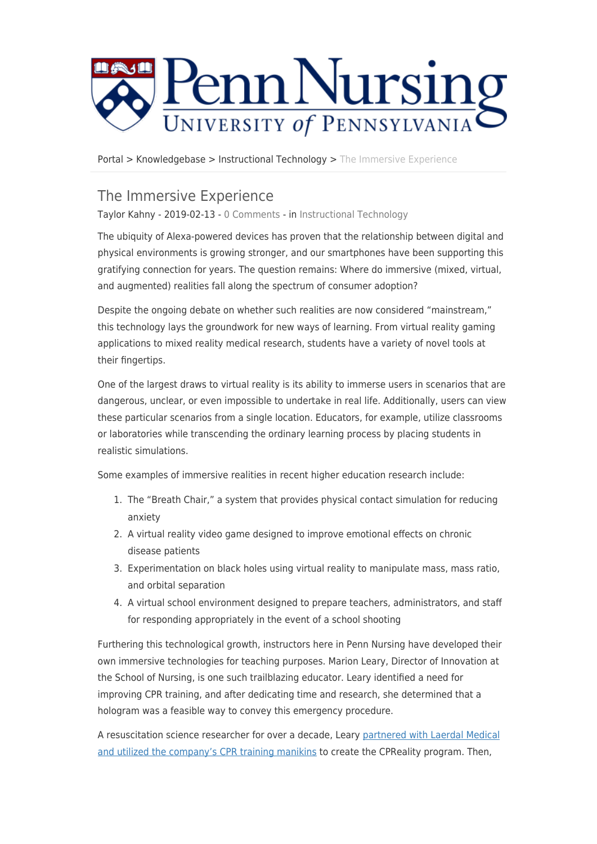

[Portal](https://requests.nursing.upenn.edu/) > [Knowledgebase](https://requests.nursing.upenn.edu/kb) > [Instructional Technology](https://requests.nursing.upenn.edu/kb/instructional-technology) > [The Immersive Experience](https://requests.nursing.upenn.edu/kb/articles/the-immersive-experience)

## The Immersive Experience

Taylor Kahny - 2019-02-13 - [0 Comments](#page--1-0) - in [Instructional Technology](https://requests.nursing.upenn.edu/kb/instructional-technology)

The ubiquity of Alexa-powered devices has proven that the relationship between digital and physical environments is growing stronger, and our smartphones have been supporting this gratifying connection for years. The question remains: Where do immersive (mixed, virtual, and augmented) realities fall along the spectrum of consumer adoption?

Despite the ongoing debate on whether such realities are now considered "mainstream," this technology lays the groundwork for new ways of learning. From virtual reality gaming applications to mixed reality medical research, students have a variety of novel tools at their fingertips.

One of the largest draws to virtual reality is its ability to immerse users in scenarios that are dangerous, unclear, or even impossible to undertake in real life. Additionally, users can view these particular scenarios from a single location. Educators, for example, utilize classrooms or laboratories while transcending the ordinary learning process by placing students in realistic simulations.

Some examples of immersive realities in recent higher education research include:

- 1. The "Breath Chair," a system that provides physical contact simulation for reducing anxiety
- 2. A virtual reality video game designed to improve emotional effects on chronic disease patients
- 3. Experimentation on black holes using virtual reality to manipulate mass, mass ratio, and orbital separation
- 4. A virtual school environment designed to prepare teachers, administrators, and staff for responding appropriately in the event of a school shooting

Furthering this technological growth, instructors here in Penn Nursing have developed their own immersive technologies for teaching purposes. Marion Leary, Director of Innovation at the School of Nursing, is one such trailblazing educator. Leary identified a need for improving CPR training, and after dedicating time and research, she determined that a hologram was a feasible way to convey this emergency procedure.

A resuscitation science researcher for over a decade, Leary [partnered with Laerdal Medical](https://www.nursing.upenn.edu/live/news/919-a-holograph-that-can-save-lives) [and utilized the company's CPR training manikins](https://www.nursing.upenn.edu/live/news/919-a-holograph-that-can-save-lives) to create the CPReality program. Then,